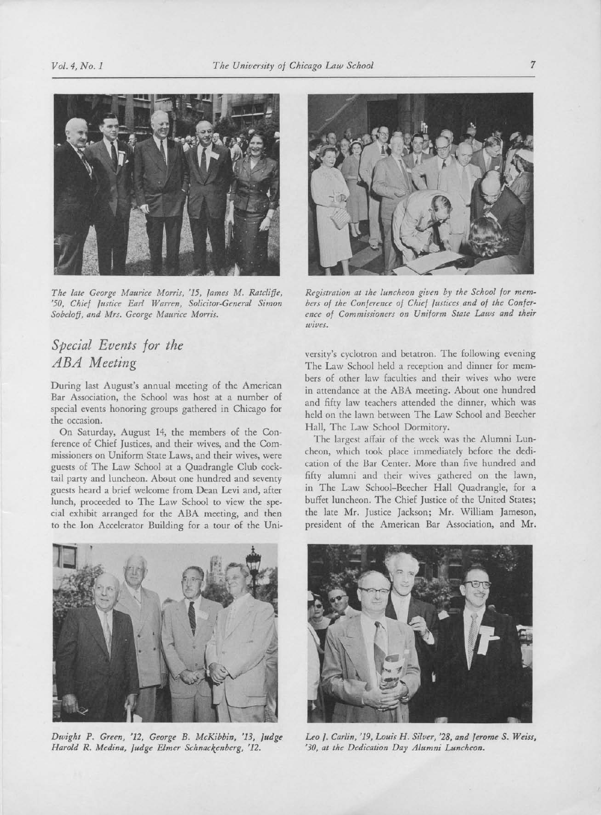

The late George Maurice Morris, '15, James M. Ratcliffe, '50, Chief Justice Earl Warren, Solicitor-General Simon Sobeloff, and Mrs. George Maurice Morris.

## Special Events for the ABA Meeting

During last August's annual meeting of the American Bar Association, the School was host at <sup>a</sup> number of special events honoring groups gathered in Chicago for the occasion.

On Saturday, August 14, the members of the Conference of Chief Justices, and their wives, and the Commissioners on Uniform State Laws, and their wives, were guests of The Law School at <sup>a</sup> Quadrangle Club cocktail party and luncheon. About one hundred and seventy guests heard <sup>a</sup> brief welcome from Dean Levi and, after lunch, proceeded to The Law School to view the special exhibit arranged for the ABA meeting, and then to the Ion Accelerator Building for <sup>a</sup> tour of the Uni-



Registration at the luncheon given by the School for members of the Conference of Chief Justices and of the Conference of Commissioners on Uniform State Laws and their unues,

versity's cyclotron and betatron. The following evening The Law School held a reception and dinner for members of other law faculties and their wives who were in attendance at the ABA meeting. About one hundred and fifty law teachers attended the dinner, which was held on the lawn between The Law School and Beecher Hall, The Law School Dormitory.

The largest affair of the week was the Alumni Luncheon, which took place immediately before the dedication of the Bar Center. More than five hundred and fifty alumni and their wives gathered on the lawn, in The Law School-Beecher Hall Quadrangle, for <sup>a</sup> buffet luncheon. The Chief Justice of the United States; the late Mr. Justice Jackson; Mr. William Jameson, president of the American Bar Association, and Mr.



Dwight P. Green, '12, George B. McKibbin, '13, Judge Harold R. Medina, Judge Elmer Schnackenberg, '12.



Leo J. Carlin, '19, Louis H. Silver, '28, and Jerome S. Weiss, '30, at the Dedication Day Alumni Luncheon.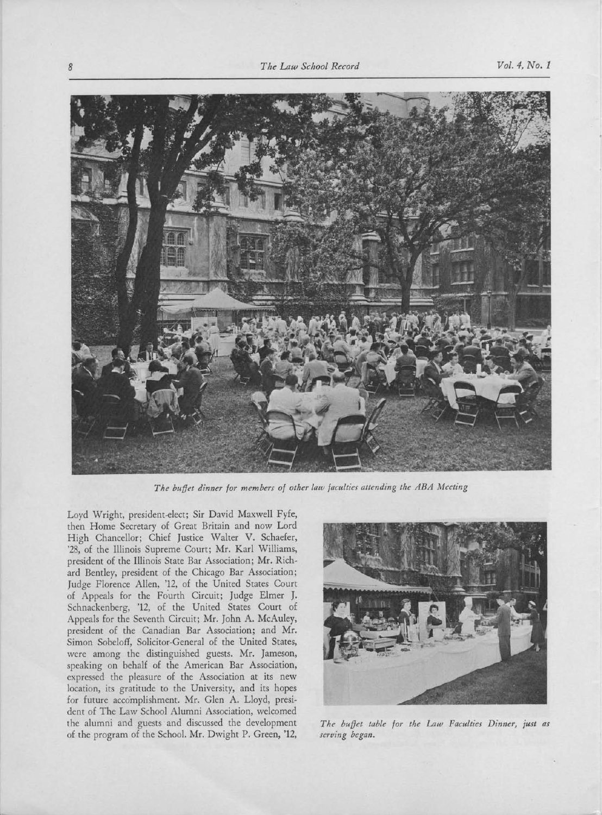

The buffet dinner for members of other law faculties attending the ABA Meeting

Loyd Wright, president-elect; Sir David Maxwell Fyfe, then Home Secretary of Great Britain and now Lord High Chancellor; Chief Justice Walter V. Schaefer, '28, of the Illinois Supreme Court; Mr. Karl Williams, president of the Illinois State Bar Association; Mr. Richard Bentley, president of the Chicago Bar Association; Judge Florence Allen, '12, of the United States Court of Appeals for the Fourth Circuit; Judge Elmer J. Schnackenberg, '12, of the United States Court of Appeals for the Seventh Circuit; Mr. John A. McAuley, president of the Canadian Bar Association; and Mr. Simon Sobeloff, Solicitor-General of the United States, were among the distinguished guests. Mr. Jameson, speaking on behalf of the American Bar Association, expressed the pleasure of the Association at its new location, its gratitude to the University, and its hopes for future accomplishment, Mr. Glen A. Lloyd, president of The Law School Alumni Association, welcomed the alumni and guests and discussed the development of the program of the School. Mr. Dwight P. Green, '12,



The buffet table for the Law Faculties Dinner, just as serving began.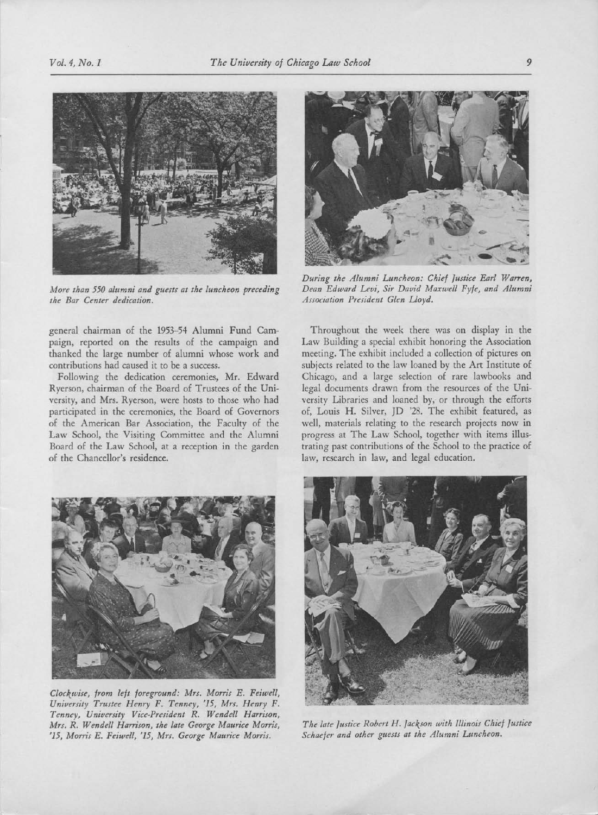

More than <sup>550</sup> alumni and guests at the luncheon preceding the Bar Center dedication.

general chairman of the 1953-54 Alumni Fund Campaign, reported on the results of the campaign and thanked the large number of alumni whose work and contributions had caused it to be <sup>a</sup> success.

Following the dedication ceremonies, Mr. Edward Ryerson, chairman of the Board of Trustees of the University, and Mrs. Ryerson, were hosts to those who had participated in the ceremonies, the Board of Governors of the American Bar Association, the Faculty of the Law School, the Visiting Committee and the Alumni Board of the Law School, at <sup>a</sup> reception in the garden of the Chancellor's residence.



Clockwise, from left foreground: Mrs. Morris E. Feiwell, University Trustee Henry F. Tenney, '15, Mrs. Henry F. Tenney, University Vice-President R. Wendell Harrison, Mrs. R. Wendell Harrison, the late George Maurice Morris, '15, Morris E. Feiwell, '15, Mrs. George Maurice Morris.



During the Alumni Luncheon: Chief Justice Earl Warren, Dean Edward Levi, Sir David Maxwell Fyfe, and Alumni Association President Glen Lloyd.

Throughout the week there was on display in the Law Building <sup>a</sup> special exhibit honoring the Association meeting. The exhibit included <sup>a</sup> collection of pictures on subjects related to the law loaned by the Art Institute of Chicago, and <sup>a</sup> large selection of rare lawbooks and legal documents drawn from the resources of the University Libraries and loaned by, or through the efforts of, Louis H. Silver, JD '28. The exhibit featured, as well, materials relating to the research projects now in progress at The Law School, together with items illustrating past contributions of the School to the practice of law, research in law, and legal education.



The late Justice Robert H. Jackson with Illinois Chief Justice Schaefer and other guests at the Alumni Luncheon.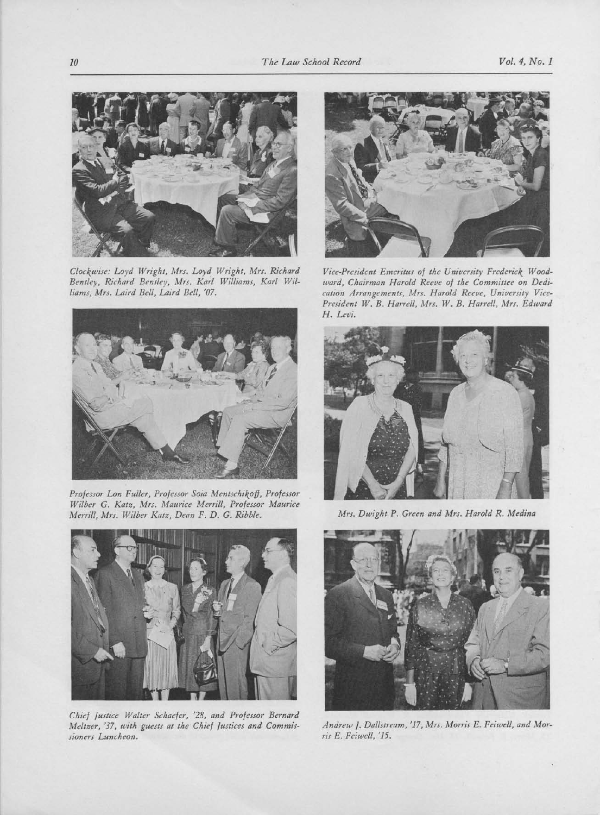

Clockwise: Loyd Wright, Mrs. Loyd Wright, Mrs. Richard Bentley, Richard Bentley, Mrs. Karl Williams, Karl Wil-Iiams, Mrs. Laird Bell, Laird Bell, '07.



Projessor Lon Fuller, Professor Soia Mentschikof], Professor Wilber G. Katz, Mrs. Maurice Merrill, Professor Maurice Merrill, Mrs. Wilber Katz, Dean F. D. G. Ribble.



Chief Justice Walter Schaefer, '28, and Professor Bernard Meltzer, '37, with guests at the Chief Justices and Commissioners Luncheon.



Vice-President Emeritus of the University Frederick Woodward, Chairman Harold Reeve of the Committee on Dedication Arrangements, Mrs. Harold Reeve, University Vice-President W. B. Harrell, Mrs. W. B. Harrell, Mrs. Edward H. Levi.



Mrs. Dwight P. Green and Mrs. Harold R. Medina



Andrew I. Dallstream, '17, Mrs. Morris E. Feiwell, and Morris E. Feiwell, '15.